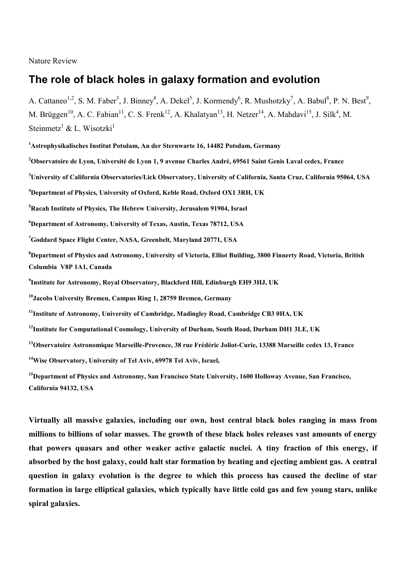### Nature Review

# **The role of black holes in galaxy formation and evolution**

A. Cattaneo<sup>1,2</sup>, S. M. Faber<sup>3</sup>, J. Binney<sup>4</sup>, A. Dekel<sup>5</sup>, J. Kormendy<sup>6</sup>, R. Mushotzky<sup>7</sup>, A. Babul<sup>8</sup>, P. N. Best<sup>9</sup>, M. Brüggen<sup>10</sup>, A. C. Fabian<sup>11</sup>, C. S. Frenk<sup>12</sup>, A. Khalatyan<sup>13</sup>, H. Netzer<sup>14</sup>, A. Mahdavi<sup>15</sup>, J. Silk<sup>4</sup>, M. Steinmetz<sup>1</sup> & L. Wisotzki<sup>1</sup>

**<sup>1</sup>Astrophysikalisches Institut Potsdam, An der Sternwarte 16, 14482 Potsdam, Germany**

**<sup>2</sup>Observatoire de Lyon, Université de Lyon 1, 9 avenue Charles André, 69561 Saint Genis Laval cedex, France**

**<sup>3</sup>University of California Observatories/Lick Observatory, University of California, Santa Cruz, California 95064, USA**

**<sup>4</sup>Department of Physics, University of Oxford, Keble Road, Oxford OX1 3RH, UK**

**<sup>5</sup>Racah Institute of Physics, The Hebrew University, Jerusalem 91904, Israel**

**<sup>6</sup>Department of Astronomy, University of Texas, Austin, Texas 78712, USA**

**<sup>7</sup>Goddard Space Flight Center, NASA, Greenbelt, Maryland 20771, USA**

**<sup>8</sup>Department of Physics and Astronomy, University of Victoria, Elliot Building, 3800 Finnerty Road, Victoria, British Columbia V8P 1A1, Canada**

**9 Institute for Astronomy, Royal Observatory, Blackford Hill, Edinburgh EH9 3HJ, UK**

**<sup>10</sup>Jacobs University Bremen, Campus Ring 1, 28759 Bremen, Germany**

**<sup>11</sup>Institute of Astronomy, University of Cambridge, Madingley Road, Cambridge CB3 0HA, UK**

**<sup>12</sup>Institute for Computational Cosmology, University of Durham, South Road, Durham DH1 3LE, UK**

**<sup>13</sup>Observatoire Astronomique Marseille-Provence, 38 rue Frédéric Joliot-Curie, 13388 Marseille cedex 13, France**

**<sup>14</sup>Wise Observatory, University of Tel Aviv, 69978 Tel Aviv, Israel,**

**<sup>15</sup>Department of Physics and Astronomy, San Francisco State University, 1600 Holloway Avenue, San Francisco, California 94132, USA**

**Virtually all massive galaxies, including our own, host central black holes ranging in mass from millions to billions of solar masses. The growth of these black holes releases vast amounts of energy that powers quasars and other weaker active galactic nuclei. A tiny fraction of this energy, if absorbed by the host galaxy, could halt star formation by heating and ejecting ambient gas. A central question in galaxy evolution is the degree to which this process has caused the decline of star formation in large elliptical galaxies, which typically have little cold gas and few young stars, unlike spiral galaxies.**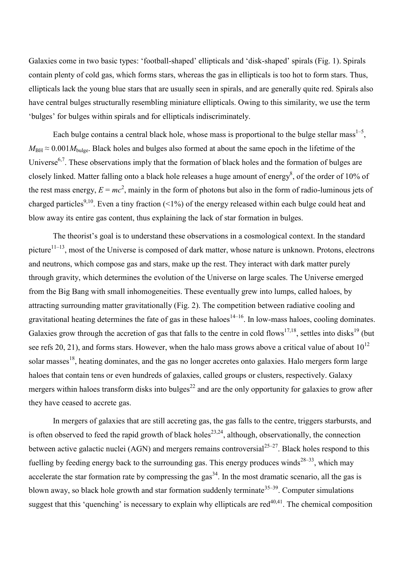Galaxies come in two basic types: 'football-shaped' ellipticals and 'disk-shaped' spirals (Fig. 1). Spirals contain plenty of cold gas, which forms stars, whereas the gas in ellipticals is too hot to form stars. Thus, ellipticals lack the young blue stars that are usually seen in spirals, and are generally quite red. Spirals also have central bulges structurally resembling miniature ellipticals. Owing to this similarity, we use the term ‗bulges' for bulges within spirals and for ellipticals indiscriminately.

Each bulge contains a central black hole, whose mass is proportional to the bulge stellar mass<sup>1-5</sup>,  $M_{\text{BH}} \approx 0.001 M_{\text{bulge}}$ . Black holes and bulges also formed at about the same epoch in the lifetime of the Universe<sup>6,7</sup>. These observations imply that the formation of black holes and the formation of bulges are closely linked. Matter falling onto a black hole releases a huge amount of energy<sup>8</sup>, of the order of 10% of the rest mass energy,  $E = mc^2$ , mainly in the form of photons but also in the form of radio-luminous jets of charged particles<sup>9,10</sup>. Even a tiny fraction (<1%) of the energy released within each bulge could heat and blow away its entire gas content, thus explaining the lack of star formation in bulges.

The theorist's goal is to understand these observations in a cosmological context. In the standard picture<sup>11–13</sup>, most of the Universe is composed of dark matter, whose nature is unknown. Protons, electrons and neutrons, which compose gas and stars, make up the rest. They interact with dark matter purely through gravity, which determines the evolution of the Universe on large scales. The Universe emerged from the Big Bang with small inhomogeneities. These eventually grew into lumps, called haloes, by attracting surrounding matter gravitationally (Fig. 2). The competition between radiative cooling and gravitational heating determines the fate of gas in these haloes<sup>14–16</sup>. In low-mass haloes, cooling dominates. Galaxies grow through the accretion of gas that falls to the centre in cold flows<sup>17,18</sup>, settles into disks<sup>19</sup> (but see refs 20, 21), and forms stars. However, when the halo mass grows above a critical value of about  $10^{12}$ solar masses<sup>18</sup>, heating dominates, and the gas no longer accretes onto galaxies. Halo mergers form large haloes that contain tens or even hundreds of galaxies, called groups or clusters, respectively. Galaxy mergers within haloes transform disks into bulges<sup>22</sup> and are the only opportunity for galaxies to grow after they have ceased to accrete gas.

In mergers of galaxies that are still accreting gas, the gas falls to the centre, triggers starbursts, and is often observed to feed the rapid growth of black holes<sup>23,24</sup>, although, observationally, the connection between active galactic nuclei (AGN) and mergers remains controversial<sup>25–27</sup>. Black holes respond to this fuelling by feeding energy back to the surrounding gas. This energy produces winds<sup>28–33</sup>, which may accelerate the star formation rate by compressing the gas<sup>34</sup>. In the most dramatic scenario, all the gas is blown away, so black hole growth and star formation suddenly terminate<sup>35–39</sup>. Computer simulations suggest that this 'quenching' is necessary to explain why ellipticals are red<sup> $40,41$ </sup>. The chemical composition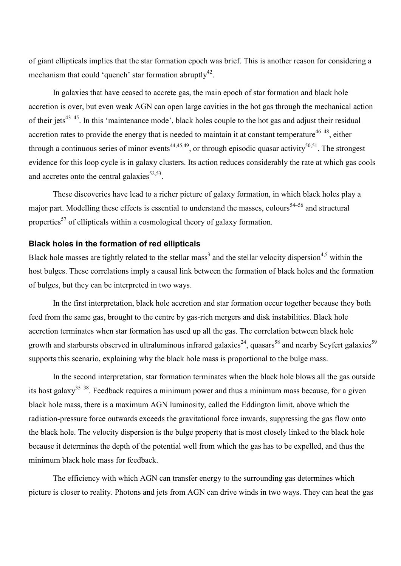of giant ellipticals implies that the star formation epoch was brief. This is another reason for considering a mechanism that could 'quench' star formation abruptly<sup>42</sup>.

In galaxies that have ceased to accrete gas, the main epoch of star formation and black hole accretion is over, but even weak AGN can open large cavities in the hot gas through the mechanical action of their jets<sup>43–45</sup>. In this 'maintenance mode', black holes couple to the hot gas and adjust their residual accretion rates to provide the energy that is needed to maintain it at constant temperature<sup>46–48</sup>, either through a continuous series of minor events<sup>44,45,49</sup>, or through episodic quasar activity<sup>50,51</sup>. The strongest evidence for this loop cycle is in galaxy clusters. Its action reduces considerably the rate at which gas cools and accretes onto the central galaxies<sup>52,53</sup>.

These discoveries have lead to a richer picture of galaxy formation, in which black holes play a major part. Modelling these effects is essential to understand the masses, colours<sup>54–56</sup> and structural properties<sup>57</sup> of ellipticals within a cosmological theory of galaxy formation.

## **Black holes in the formation of red ellipticals**

Black hole masses are tightly related to the stellar mass<sup>3</sup> and the stellar velocity dispersion<sup>4,5</sup> within the host bulges. These correlations imply a causal link between the formation of black holes and the formation of bulges, but they can be interpreted in two ways.

In the first interpretation, black hole accretion and star formation occur together because they both feed from the same gas, brought to the centre by gas-rich mergers and disk instabilities. Black hole accretion terminates when star formation has used up all the gas. The correlation between black hole growth and starbursts observed in ultraluminous infrared galaxies<sup>24</sup>, quasars<sup>58</sup> and nearby Seyfert galaxies<sup>59</sup> supports this scenario, explaining why the black hole mass is proportional to the bulge mass.

In the second interpretation, star formation terminates when the black hole blows all the gas outside its host galaxy<sup>35–38</sup>. Feedback requires a minimum power and thus a minimum mass because, for a given black hole mass, there is a maximum AGN luminosity, called the Eddington limit, above which the radiation-pressure force outwards exceeds the gravitational force inwards, suppressing the gas flow onto the black hole. The velocity dispersion is the bulge property that is most closely linked to the black hole because it determines the depth of the potential well from which the gas has to be expelled, and thus the minimum black hole mass for feedback.

The efficiency with which AGN can transfer energy to the surrounding gas determines which picture is closer to reality. Photons and jets from AGN can drive winds in two ways. They can heat the gas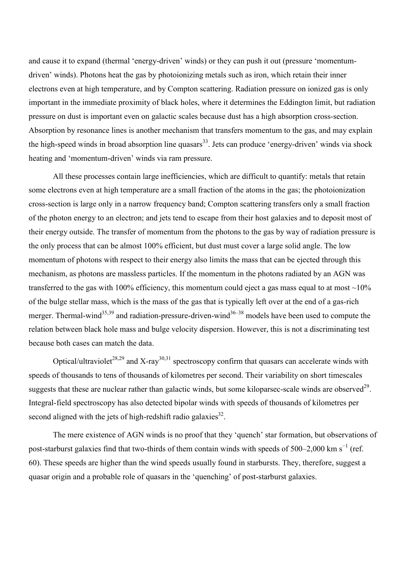and cause it to expand (thermal 'energy-driven' winds) or they can push it out (pressure 'momentumdriven' winds). Photons heat the gas by photoionizing metals such as iron, which retain their inner electrons even at high temperature, and by Compton scattering. Radiation pressure on ionized gas is only important in the immediate proximity of black holes, where it determines the Eddington limit, but radiation pressure on dust is important even on galactic scales because dust has a high absorption cross-section. Absorption by resonance lines is another mechanism that transfers momentum to the gas, and may explain the high-speed winds in broad absorption line quasars<sup>33</sup>. Jets can produce 'energy-driven' winds via shock heating and 'momentum-driven' winds via ram pressure.

All these processes contain large inefficiencies, which are difficult to quantify: metals that retain some electrons even at high temperature are a small fraction of the atoms in the gas; the photoionization cross-section is large only in a narrow frequency band; Compton scattering transfers only a small fraction of the photon energy to an electron; and jets tend to escape from their host galaxies and to deposit most of their energy outside. The transfer of momentum from the photons to the gas by way of radiation pressure is the only process that can be almost 100% efficient, but dust must cover a large solid angle. The low momentum of photons with respect to their energy also limits the mass that can be ejected through this mechanism, as photons are massless particles. If the momentum in the photons radiated by an AGN was transferred to the gas with 100% efficiency, this momentum could eject a gas mass equal to at most  $\sim$ 10% of the bulge stellar mass, which is the mass of the gas that is typically left over at the end of a gas-rich merger. Thermal-wind<sup>35,39</sup> and radiation-pressure-driven-wind<sup>36–38</sup> models have been used to compute the relation between black hole mass and bulge velocity dispersion. However, this is not a discriminating test because both cases can match the data.

Optical/ultraviolet<sup>28,29</sup> and X-ray<sup>30,31</sup> spectroscopy confirm that quasars can accelerate winds with speeds of thousands to tens of thousands of kilometres per second. Their variability on short timescales suggests that these are nuclear rather than galactic winds, but some kiloparsec-scale winds are observed<sup>29</sup>. Integral-field spectroscopy has also detected bipolar winds with speeds of thousands of kilometres per second aligned with the jets of high-redshift radio galaxies<sup>32</sup>.

The mere existence of AGN winds is no proof that they 'quench' star formation, but observations of post-starburst galaxies find that two-thirds of them contain winds with speeds of  $500-2,000$  km s<sup>-1</sup> (ref. 60). These speeds are higher than the wind speeds usually found in starbursts. They, therefore, suggest a quasar origin and a probable role of quasars in the ‗quenching' of post-starburst galaxies.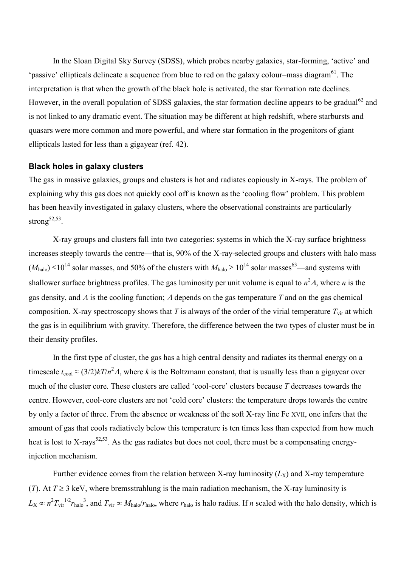In the Sloan Digital Sky Survey (SDSS), which probes nearby galaxies, star-forming, ‗active' and 'passive' ellipticals delineate a sequence from blue to red on the galaxy colour–mass diagram<sup>61</sup>. The interpretation is that when the growth of the black hole is activated, the star formation rate declines. However, in the overall population of SDSS galaxies, the star formation decline appears to be gradual<sup>62</sup> and is not linked to any dramatic event. The situation may be different at high redshift, where starbursts and quasars were more common and more powerful, and where star formation in the progenitors of giant ellipticals lasted for less than a gigayear (ref. 42).

# **Black holes in galaxy clusters**

The gas in massive galaxies, groups and clusters is hot and radiates copiously in X-rays. The problem of explaining why this gas does not quickly cool off is known as the 'cooling flow' problem. This problem has been heavily investigated in galaxy clusters, where the observational constraints are particularly strong $52,53$ .

X-ray groups and clusters fall into two categories: systems in which the X-ray surface brightness increases steeply towards the centre—that is, 90% of the X-ray-selected groups and clusters with halo mass  $(M_{halo}) \le 10^{14}$  solar masses, and 50% of the clusters with  $M_{halo} \ge 10^{14}$  solar masses<sup>63</sup>—and systems with shallower surface brightness profiles. The gas luminosity per unit volume is equal to  $n^2A$ , where *n* is the gas density, and  $\Lambda$  is the cooling function;  $\Lambda$  depends on the gas temperature  $\Lambda$  and on the gas chemical composition. X-ray spectroscopy shows that *T* is always of the order of the virial temperature  $T_{\text{vir}}$  at which the gas is in equilibrium with gravity. Therefore, the difference between the two types of cluster must be in their density profiles.

In the first type of cluster, the gas has a high central density and radiates its thermal energy on a timescale  $t_{\text{cool}} \approx (3/2)kT/n^2A$ , where *k* is the Boltzmann constant, that is usually less than a gigayear over much of the cluster core. These clusters are called ‗cool-core' clusters because *T* decreases towards the centre. However, cool-core clusters are not 'cold core' clusters: the temperature drops towards the centre by only a factor of three. From the absence or weakness of the soft X-ray line Fe XVII, one infers that the amount of gas that cools radiatively below this temperature is ten times less than expected from how much heat is lost to X-rays<sup>52,53</sup>. As the gas radiates but does not cool, there must be a compensating energyinjection mechanism.

Further evidence comes from the relation between X-ray luminosity  $(L_X)$  and X-ray temperature (*T*). At  $T \ge 3$  keV, where bremsstrahlung is the main radiation mechanism, the X-ray luminosity is  $L_X \propto n^2 T_{\text{vir}}^{1/2} r_{\text{halo}}^3$ , and  $T_{\text{vir}} \propto M_{\text{halo}}/r_{\text{halo}}$ , where  $r_{\text{halo}}$  is halo radius. If *n* scaled with the halo density, which is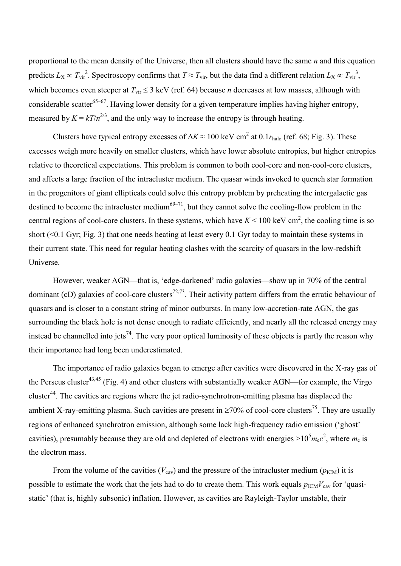proportional to the mean density of the Universe, then all clusters should have the same *n* and this equation predicts  $L_X \propto T_{\text{vir}}^2$ . Spectroscopy confirms that  $T \approx T_{\text{vir}}$ , but the data find a different relation  $L_X \propto T_{\text{vir}}^3$ , which becomes even steeper at  $T_{\text{vir}} \leq 3$  keV (ref. 64) because *n* decreases at low masses, although with considerable scatter<sup>65–67</sup>. Having lower density for a given temperature implies having higher entropy, measured by  $K = kT/n^{2/3}$ , and the only way to increase the entropy is through heating.

Clusters have typical entropy excesses of  $\Delta K \approx 100$  keV cm<sup>2</sup> at 0.1 $r_{\text{halo}}$  (ref. 68; Fig. 3). These excesses weigh more heavily on smaller clusters, which have lower absolute entropies, but higher entropies relative to theoretical expectations. This problem is common to both cool-core and non-cool-core clusters, and affects a large fraction of the intracluster medium. The quasar winds invoked to quench star formation in the progenitors of giant ellipticals could solve this entropy problem by preheating the intergalactic gas destined to become the intracluster medium<sup>69–71</sup>, but they cannot solve the cooling-flow problem in the central regions of cool-core clusters. In these systems, which have  $K < 100$  keV cm<sup>2</sup>, the cooling time is so short (<0.1 Gyr; Fig. 3) that one needs heating at least every 0.1 Gyr today to maintain these systems in their current state. This need for regular heating clashes with the scarcity of quasars in the low-redshift Universe.

However, weaker AGN—that is, 'edge-darkened' radio galaxies—show up in 70% of the central dominant (cD) galaxies of cool-core clusters<sup>72,73</sup>. Their activity pattern differs from the erratic behaviour of quasars and is closer to a constant string of minor outbursts. In many low-accretion-rate AGN, the gas surrounding the black hole is not dense enough to radiate efficiently, and nearly all the released energy may instead be channelled into jets<sup>74</sup>. The very poor optical luminosity of these objects is partly the reason why their importance had long been underestimated.

The importance of radio galaxies began to emerge after cavities were discovered in the X-ray gas of the Perseus cluster<sup>43,45</sup> (Fig. 4) and other clusters with substantially weaker AGN—for example, the Virgo cluster<sup>44</sup>. The cavities are regions where the jet radio-synchrotron-emitting plasma has displaced the ambient X-ray-emitting plasma. Such cavities are present in  $\geq 70\%$  of cool-core clusters<sup>75</sup>. They are usually regions of enhanced synchrotron emission, although some lack high-frequency radio emission ('ghost' cavities), presumably because they are old and depleted of electrons with energies  $>10^5 m_e c^2$ , where  $m_e$  is the electron mass.

From the volume of the cavities ( $V_{\text{cav}}$ ) and the pressure of the intracluster medium ( $p_{\text{ICM}}$ ) it is possible to estimate the work that the jets had to do to create them. This work equals  $p_{\text{ICM}}V_{\text{cav}}$  for 'quasistatic' (that is, highly subsonic) inflation. However, as cavities are Rayleigh-Taylor unstable, their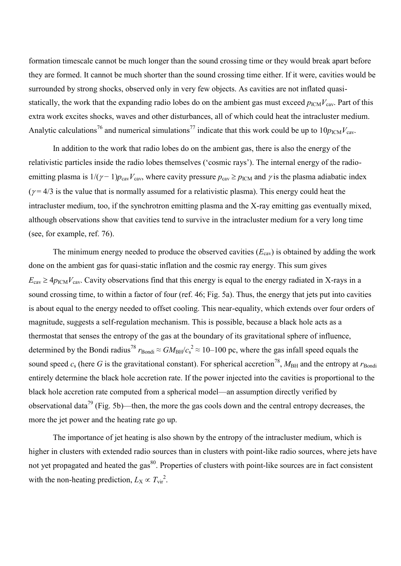formation timescale cannot be much longer than the sound crossing time or they would break apart before they are formed. It cannot be much shorter than the sound crossing time either. If it were, cavities would be surrounded by strong shocks, observed only in very few objects. As cavities are not inflated quasistatically, the work that the expanding radio lobes do on the ambient gas must exceed  $p_{\text{ICM}}V_{\text{cav}}$ . Part of this extra work excites shocks, waves and other disturbances, all of which could heat the intracluster medium. Analytic calculations<sup>76</sup> and numerical simulations<sup>77</sup> indicate that this work could be up to  $10p_{\text{ICM}}V_{\text{cav}}$ .

In addition to the work that radio lobes do on the ambient gas, there is also the energy of the relativistic particles inside the radio lobes themselves (‗cosmic rays'). The internal energy of the radioemitting plasma is  $1/(\gamma - 1)p_{\text{cav}}V_{\text{cav}}$ , where cavity pressure  $p_{\text{cav}} \ge p_{\text{ICM}}$  and  $\gamma$  is the plasma adiabatic index  $(\gamma = 4/3)$  is the value that is normally assumed for a relativistic plasma). This energy could heat the intracluster medium, too, if the synchrotron emitting plasma and the X-ray emitting gas eventually mixed, although observations show that cavities tend to survive in the intracluster medium for a very long time (see, for example, ref. 76).

The minimum energy needed to produce the observed cavities  $(E_{\text{cav}})$  is obtained by adding the work done on the ambient gas for quasi-static inflation and the cosmic ray energy. This sum gives  $E_{\text{cav}} \ge 4p_{\text{ICM}}V_{\text{cav}}$ . Cavity observations find that this energy is equal to the energy radiated in X-rays in a sound crossing time, to within a factor of four (ref. 46; Fig. 5a). Thus, the energy that jets put into cavities is about equal to the energy needed to offset cooling. This near-equality, which extends over four orders of magnitude, suggests a self-regulation mechanism. This is possible, because a black hole acts as a thermostat that senses the entropy of the gas at the boundary of its gravitational sphere of influence, determined by the Bondi radius<sup>78</sup>  $r_{Bondi} \approx GM_{BH}/c_s^2 \approx 10-100$  pc, where the gas infall speed equals the sound speed  $c_s$  (here G is the gravitational constant). For spherical accretion<sup>78</sup>,  $M_{BH}$  and the entropy at  $r_{Bondi}$ entirely determine the black hole accretion rate. If the power injected into the cavities is proportional to the black hole accretion rate computed from a spherical model—an assumption directly verified by observational data<sup>79</sup> (Fig. 5b)—then, the more the gas cools down and the central entropy decreases, the more the jet power and the heating rate go up.

The importance of jet heating is also shown by the entropy of the intracluster medium, which is higher in clusters with extended radio sources than in clusters with point-like radio sources, where jets have not yet propagated and heated the gas<sup>80</sup>. Properties of clusters with point-like sources are in fact consistent with the non-heating prediction,  $L_X \propto T_{vir}^{2}$ .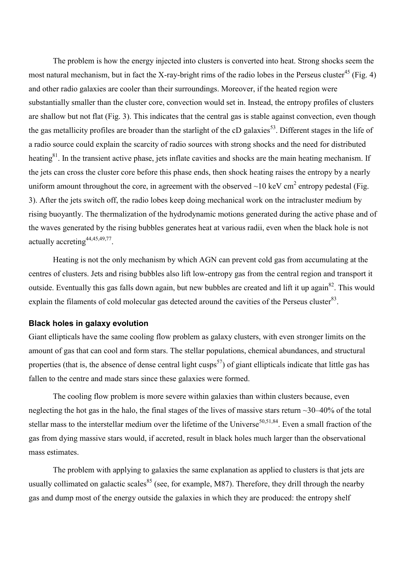The problem is how the energy injected into clusters is converted into heat. Strong shocks seem the most natural mechanism, but in fact the X-ray-bright rims of the radio lobes in the Perseus cluster<sup>45</sup> (Fig. 4) and other radio galaxies are cooler than their surroundings. Moreover, if the heated region were substantially smaller than the cluster core, convection would set in. Instead, the entropy profiles of clusters are shallow but not flat (Fig. 3). This indicates that the central gas is stable against convection, even though the gas metallicity profiles are broader than the starlight of the cD galaxies<sup>53</sup>. Different stages in the life of a radio source could explain the scarcity of radio sources with strong shocks and the need for distributed heating<sup>81</sup>. In the transient active phase, jets inflate cavities and shocks are the main heating mechanism. If the jets can cross the cluster core before this phase ends, then shock heating raises the entropy by a nearly uniform amount throughout the core, in agreement with the observed  $\sim$ 10 keV cm<sup>2</sup> entropy pedestal (Fig. 3). After the jets switch off, the radio lobes keep doing mechanical work on the intracluster medium by rising buoyantly. The thermalization of the hydrodynamic motions generated during the active phase and of the waves generated by the rising bubbles generates heat at various radii, even when the black hole is not actually accreting<sup>44,45,49,77</sup>.

Heating is not the only mechanism by which AGN can prevent cold gas from accumulating at the centres of clusters. Jets and rising bubbles also lift low-entropy gas from the central region and transport it outside. Eventually this gas falls down again, but new bubbles are created and lift it up again<sup>82</sup>. This would explain the filaments of cold molecular gas detected around the cavities of the Perseus cluster $^{83}$ .

## **Black holes in galaxy evolution**

Giant ellipticals have the same cooling flow problem as galaxy clusters, with even stronger limits on the amount of gas that can cool and form stars. The stellar populations, chemical abundances, and structural properties (that is, the absence of dense central light cusps<sup>57</sup>) of giant ellipticals indicate that little gas has fallen to the centre and made stars since these galaxies were formed.

The cooling flow problem is more severe within galaxies than within clusters because, even neglecting the hot gas in the halo, the final stages of the lives of massive stars return ~30–40% of the total stellar mass to the interstellar medium over the lifetime of the Universe<sup>50,51,84</sup>. Even a small fraction of the gas from dying massive stars would, if accreted, result in black holes much larger than the observational mass estimates.

The problem with applying to galaxies the same explanation as applied to clusters is that jets are usually collimated on galactic scales<sup>85</sup> (see, for example, M87). Therefore, they drill through the nearby gas and dump most of the energy outside the galaxies in which they are produced: the entropy shelf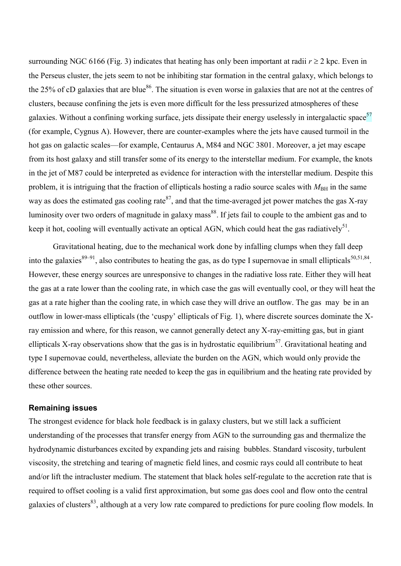surrounding NGC 6166 (Fig. 3) indicates that heating has only been important at radii  $r \ge 2$  kpc. Even in the Perseus cluster, the jets seem to not be inhibiting star formation in the central galaxy, which belongs to the 25% of cD galaxies that are blue<sup>86</sup>. The situation is even worse in galaxies that are not at the centres of clusters, because confining the jets is even more difficult for the less pressurized atmospheres of these galaxies. Without a confining working surface, jets dissipate their energy uselessly in intergalactic space<sup>57</sup> (for example, Cygnus A). However, there are counter-examples where the jets have caused turmoil in the hot gas on galactic scales—for example, Centaurus A, M84 and NGC 3801. Moreover, a jet may escape from its host galaxy and still transfer some of its energy to the interstellar medium. For example, the knots in the jet of M87 could be interpreted as evidence for interaction with the interstellar medium. Despite this problem, it is intriguing that the fraction of ellipticals hosting a radio source scales with  $M_{\rm BH}$  in the same way as does the estimated gas cooling rate  $87$ , and that the time-averaged jet power matches the gas X-ray luminosity over two orders of magnitude in galaxy mass<sup>88</sup>. If jets fail to couple to the ambient gas and to keep it hot, cooling will eventually activate an optical AGN, which could heat the gas radiatively<sup>51</sup>.

Gravitational heating, due to the mechanical work done by infalling clumps when they fall deep into the galaxies<sup>89–91</sup>, also contributes to heating the gas, as do type I supernovae in small ellipticals<sup>50,51,84</sup>. However, these energy sources are unresponsive to changes in the radiative loss rate. Either they will heat the gas at a rate lower than the cooling rate, in which case the gas will eventually cool, or they will heat the gas at a rate higher than the cooling rate, in which case they will drive an outflow. The gas may be in an outflow in lower-mass ellipticals (the 'cuspy' ellipticals of Fig. 1), where discrete sources dominate the Xray emission and where, for this reason, we cannot generally detect any X-ray-emitting gas, but in giant ellipticals X-ray observations show that the gas is in hydrostatic equilibrium<sup>57</sup>. Gravitational heating and type I supernovae could, nevertheless, alleviate the burden on the AGN, which would only provide the difference between the heating rate needed to keep the gas in equilibrium and the heating rate provided by these other sources.

## **Remaining issues**

The strongest evidence for black hole feedback is in galaxy clusters, but we still lack a sufficient understanding of the processes that transfer energy from AGN to the surrounding gas and thermalize the hydrodynamic disturbances excited by expanding jets and raising bubbles. Standard viscosity, turbulent viscosity, the stretching and tearing of magnetic field lines, and cosmic rays could all contribute to heat and/or lift the intracluster medium. The statement that black holes self-regulate to the accretion rate that is required to offset cooling is a valid first approximation, but some gas does cool and flow onto the central galaxies of clusters<sup>83</sup>, although at a very low rate compared to predictions for pure cooling flow models. In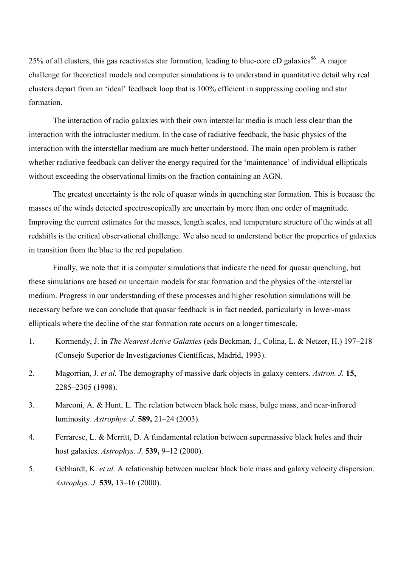25% of all clusters, this gas reactivates star formation, leading to blue-core cD galaxies<sup>86</sup>. A major challenge for theoretical models and computer simulations is to understand in quantitative detail why real clusters depart from an ‗ideal' feedback loop that is 100% efficient in suppressing cooling and star formation.

The interaction of radio galaxies with their own interstellar media is much less clear than the interaction with the intracluster medium. In the case of radiative feedback, the basic physics of the interaction with the interstellar medium are much better understood. The main open problem is rather whether radiative feedback can deliver the energy required for the 'maintenance' of individual ellipticals without exceeding the observational limits on the fraction containing an AGN.

The greatest uncertainty is the role of quasar winds in quenching star formation. This is because the masses of the winds detected spectroscopically are uncertain by more than one order of magnitude. Improving the current estimates for the masses, length scales, and temperature structure of the winds at all redshifts is the critical observational challenge. We also need to understand better the properties of galaxies in transition from the blue to the red population.

Finally, we note that it is computer simulations that indicate the need for quasar quenching, but these simulations are based on uncertain models for star formation and the physics of the interstellar medium. Progress in our understanding of these processes and higher resolution simulations will be necessary before we can conclude that quasar feedback is in fact needed, particularly in lower-mass ellipticals where the decline of the star formation rate occurs on a longer timescale.

- 1. Kormendy, J. in *The Nearest Active Galaxies* (eds Beckman, J., Colina, L. & Netzer, H.) 197–218 (Consejo Superior de Investigaciones Científicas, Madrid, 1993).
- 2. Magorrian, J. *et al.* The demography of massive dark objects in galaxy centers. *Astron. J.* **15,** 2285–2305 (1998).
- 3. Marconi, A. & Hunt, L. The relation between black hole mass, bulge mass, and near-infrared luminosity. *Astrophys. J.* **589,** 21–24 (2003).
- 4. Ferrarese, L. & Merritt, D. A fundamental relation between supermassive black holes and their host galaxies. *Astrophys. J.* **539,** 9–12 (2000).
- 5. Gebhardt, K. *et al.* A relationship between nuclear black hole mass and galaxy velocity dispersion. *Astrophys. J.* **539,** 13–16 (2000).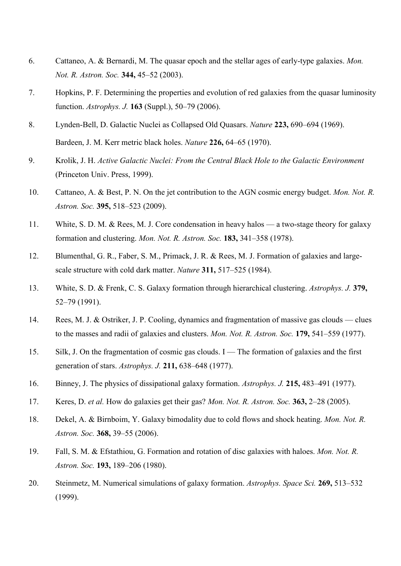- 6. Cattaneo, A. & Bernardi, M. The quasar epoch and the stellar ages of early-type galaxies. *Mon. Not. R. Astron. Soc.* **344,** 45–52 (2003).
- 7. Hopkins, P. F. Determining the properties and evolution of red galaxies from the quasar luminosity function. *Astrophys. J.* **163** (Suppl.), 50–79 (2006).
- 8. Lynden-Bell, D. Galactic Nuclei as Collapsed Old Quasars. *Nature* **223,** 690–694 (1969). Bardeen, J. M. Kerr metric black holes. *Nature* **226,** 64–65 (1970).
- 9. Krolik, J. H. *Active Galactic Nuclei: From the Central Black Hole to the Galactic Environment* (Princeton Univ. Press, 1999).
- 10. Cattaneo, A. & Best, P. N. On the jet contribution to the AGN cosmic energy budget. *Mon. Not. R. Astron. Soc.* **395,** 518–523 (2009).
- 11. White, S. D. M. & Rees, M. J. Core condensation in heavy halos a two-stage theory for galaxy formation and clustering. *Mon. Not. R. Astron. Soc.* **183,** 341–358 (1978).
- 12. Blumenthal, G. R., Faber, S. M., Primack, J. R. & Rees, M. J. Formation of galaxies and largescale structure with cold dark matter. *Nature* **311,** 517–525 (1984).
- 13. White, S. D. & Frenk, C. S. Galaxy formation through hierarchical clustering. *Astrophys. J.* **379,** 52–79 (1991).
- 14. Rees, M. J. & Ostriker, J. P. Cooling, dynamics and fragmentation of massive gas clouds clues to the masses and radii of galaxies and clusters. *Mon. Not. R. Astron. Soc.* **179,** 541–559 (1977).
- 15. Silk, J. On the fragmentation of cosmic gas clouds. I The formation of galaxies and the first generation of stars. *Astrophys. J.* **211,** 638–648 (1977).
- 16. Binney, J. The physics of dissipational galaxy formation. *Astrophys. J.* **215,** 483–491 (1977).
- 17. Keres, D. *et al.* How do galaxies get their gas? *Mon. Not. R. Astron. Soc.* **363,** 2–28 (2005).
- 18. Dekel, A. & Birnboim, Y. Galaxy bimodality due to cold flows and shock heating. *Mon. Not. R. Astron. Soc.* **368,** 39–55 (2006).
- 19. Fall, S. M. & Efstathiou, G. Formation and rotation of disc galaxies with haloes. *Mon. Not. R. Astron. Soc.* **193,** 189–206 (1980).
- 20. Steinmetz, M. Numerical simulations of galaxy formation. *Astrophys. Space Sci.* **269,** 513–532 (1999).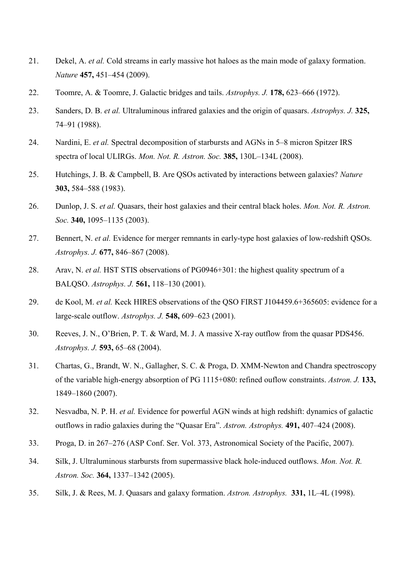- 21. Dekel, A. *et al.* Cold streams in early massive hot haloes as the main mode of galaxy formation. *Nature* **457,** 451–454 (2009).
- 22. Toomre, A. & Toomre, J. Galactic bridges and tails. *Astrophys. J.* **178,** 623–666 (1972).
- 23. Sanders, D. B. *et al.* Ultraluminous infrared galaxies and the origin of quasars. *Astrophys. J.* **325,** 74–91 (1988).
- 24. Nardini, E. *et al.* Spectral decomposition of starbursts and AGNs in 5–8 micron Spitzer IRS spectra of local ULIRGs. *Mon. Not. R. Astron. Soc.* **385,** 130L–134L (2008).
- 25. Hutchings, J. B. & Campbell, B. Are QSOs activated by interactions between galaxies? *Nature* **303,** 584–588 (1983).
- 26. Dunlop, J. S. *et al.* Quasars, their host galaxies and their central black holes. *Mon. Not. R. Astron. Soc.* **340,** 1095–1135 (2003).
- 27. Bennert, N. *et al.* Evidence for merger remnants in early-type host galaxies of low-redshift QSOs. *Astrophys. J.* **677,** 846–867 (2008).
- 28. Arav, N. *et al.* HST STIS observations of PG0946+301: the highest quality spectrum of a BALQSO. *Astrophys. J.* **561,** 118–130 (2001).
- 29. de Kool, M. *et al.* Keck HIRES observations of the QSO FIRST J104459.6+365605: evidence for a large-scale outflow. *Astrophys. J.* **548,** 609–623 (2001).
- 30. Reeves, J. N., O'Brien, P. T. & Ward, M. J. A massive X-ray outflow from the quasar PDS456. *Astrophys. J.* **593,** 65–68 (2004).
- 31. Chartas, G., Brandt, W. N., Gallagher, S. C. & Proga, D. XMM-Newton and Chandra spectroscopy of the variable high-energy absorption of PG 1115+080: refined ouflow constraints. *Astron. J.* **133,** 1849–1860 (2007).
- 32. Nesvadba, N. P. H. *et al.* Evidence for powerful AGN winds at high redshift: dynamics of galactic outflows in radio galaxies during the "Quasar Era". *Astron. Astrophys.* 491, 407–424 (2008).
- 33. Proga, D. in 267–276 (ASP Conf. Ser. Vol. 373, Astronomical Society of the Pacific, 2007).
- 34. Silk, J. Ultraluminous starbursts from supermassive black hole-induced outflows. *Mon. Not. R. Astron. Soc.* **364,** 1337–1342 (2005).
- 35. Silk, J. & Rees, M. J. Quasars and galaxy formation. *Astron. Astrophys.* **331,** 1L–4L (1998).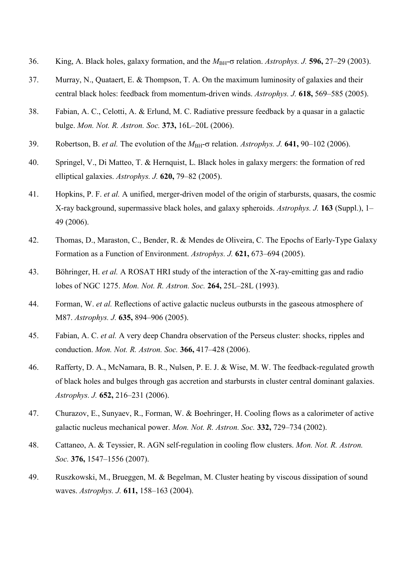- 36. King, A. Black holes, galaxy formation, and the  $M_{BH}$ - $\sigma$  relation. *Astrophys. J.* **596,** 27–29 (2003).
- 37. Murray, N., Quataert, E. & Thompson, T. A. On the maximum luminosity of galaxies and their central black holes: feedback from momentum-driven winds. *Astrophys. J.* **618,** 569–585 (2005).
- 38. Fabian, A. C., Celotti, A. & Erlund, M. C. Radiative pressure feedback by a quasar in a galactic bulge. *Mon. Not. R. Astron. Soc.* **373,** 16L–20L (2006).
- 39. Robertson, B. *et al.* The evolution of the  $M<sub>BH</sub>$ - $\sigma$  relation. *Astrophys. J.* **641,** 90–102 (2006).
- 40. Springel, V., Di Matteo, T. & Hernquist, L. Black holes in galaxy mergers: the formation of red elliptical galaxies. *Astrophys. J.* **620,** 79–82 (2005).
- 41. Hopkins, P. F. *et al.* A unified, merger-driven model of the origin of starbursts, quasars, the cosmic X-ray background, supermassive black holes, and galaxy spheroids. *Astrophys. J.* **163** (Suppl.), 1– 49 (2006).
- 42. Thomas, D., Maraston, C., Bender, R. & Mendes de Oliveira, C. The Epochs of Early-Type Galaxy Formation as a Function of Environment. *Astrophys. J.* **621,** 673–694 (2005).
- 43. Böhringer, H. *et al.* A ROSAT HRI study of the interaction of the X-ray-emitting gas and radio lobes of NGC 1275. *Mon. Not. R. Astron. Soc.* **264,** 25L–28L (1993).
- 44. Forman, W. *et al.* Reflections of active galactic nucleus outbursts in the gaseous atmosphere of M87. *Astrophys. J.* **635,** 894–906 (2005).
- 45. Fabian, A. C. *et al.* A very deep Chandra observation of the Perseus cluster: shocks, ripples and conduction. *Mon. Not. R. Astron. Soc.* **366,** 417–428 (2006).
- 46. Rafferty, D. A., McNamara, B. R., Nulsen, P. E. J. & Wise, M. W. The feedback-regulated growth of black holes and bulges through gas accretion and starbursts in cluster central dominant galaxies. *Astrophys. J.* **652,** 216–231 (2006).
- 47. Churazov, E., Sunyaev, R., Forman, W. & Boehringer, H. Cooling flows as a calorimeter of active galactic nucleus mechanical power. *Mon. Not. R. Astron. Soc.* **332,** 729–734 (2002).
- 48. Cattaneo, A. & Teyssier, R. AGN self-regulation in cooling flow clusters. *Mon. Not. R. Astron. Soc.* **376,** 1547–1556 (2007).
- 49. Ruszkowski, M., Brueggen, M. & Begelman, M. Cluster heating by viscous dissipation of sound waves. *Astrophys. J.* **611,** 158–163 (2004).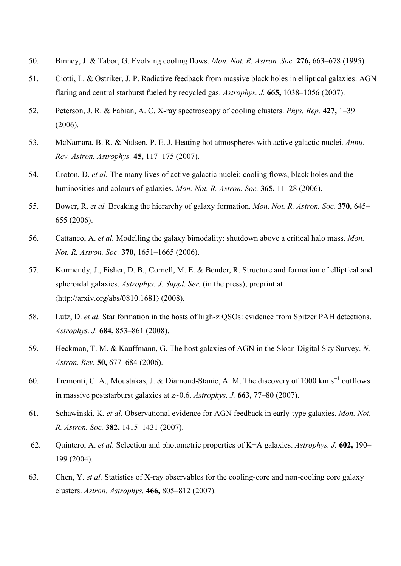- 50. Binney, J. & Tabor, G. Evolving cooling flows. *Mon. Not. R. Astron. Soc.* **276,** 663–678 (1995).
- 51. Ciotti, L. & Ostriker, J. P. Radiative feedback from massive black holes in elliptical galaxies: AGN flaring and central starburst fueled by recycled gas. *Astrophys. J.* **665,** 1038–1056 (2007).
- 52. Peterson, J. R. & Fabian, A. C. X-ray spectroscopy of cooling clusters. *Phys. Rep.* **427,** 1–39 (2006).
- 53. McNamara, B. R. & Nulsen, P. E. J. Heating hot atmospheres with active galactic nuclei. *Annu. Rev. Astron. Astrophys.* **45,** 117–175 (2007).
- 54. Croton, D. *et al.* The many lives of active galactic nuclei: cooling flows, black holes and the luminosities and colours of galaxies. *Mon. Not. R. Astron. Soc.* **365,** 11–28 (2006).
- 55. Bower, R. *et al.* Breaking the hierarchy of galaxy formation. *Mon. Not. R. Astron. Soc.* **370,** 645– 655 (2006).
- 56. Cattaneo, A. *et al.* Modelling the galaxy bimodality: shutdown above a critical halo mass. *Mon. Not. R. Astron. Soc.* **370,** 1651–1665 (2006).
- 57. Kormendy, J., Fisher, D. B., Cornell, M. E. & Bender, R. Structure and formation of elliptical and spheroidal galaxies. *Astrophys. J. Suppl. Ser.* (in the press); preprint at  $\langle$ http://arxiv.org/abs/0810.1681 $\rangle$  (2008).
- 58. Lutz, D. *et al.* Star formation in the hosts of high-z QSOs: evidence from Spitzer PAH detections. *Astrophys. J.* **684,** 853–861 (2008).
- 59. Heckman, T. M. & Kauffmann, G. The host galaxies of AGN in the Sloan Digital Sky Survey. *N. Astron. Rev.* **50,** 677–684 (2006).
- 60. Tremonti, C. A., Moustakas, J. & Diamond-Stanic, A. M. The discovery of 1000 km s<sup>-1</sup> outflows in massive poststarburst galaxies at z~0.6. *Astrophys. J.* **663,** 77–80 (2007).
- 61. Schawinski, K. *et al.* Observational evidence for AGN feedback in early-type galaxies. *Mon. Not. R. Astron. Soc.* **382,** 1415–1431 (2007).
- 62. Quintero, A. *et al.* Selection and photometric properties of K+A galaxies. *Astrophys. J.* **602,** 190– 199 (2004).
- 63. Chen, Y. *et al.* Statistics of X-ray observables for the cooling-core and non-cooling core galaxy clusters. *Astron. Astrophys.* **466,** 805–812 (2007).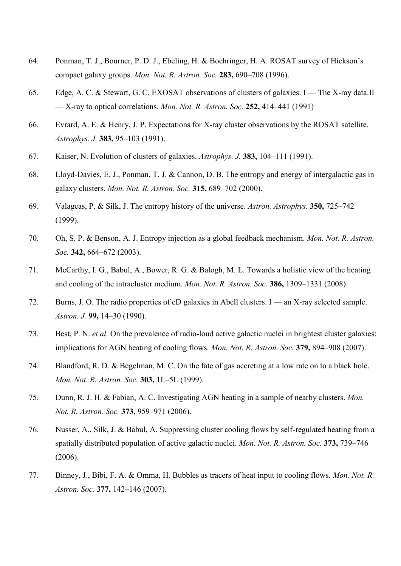- 64. Ponman, T. J., Bourner, P. D. J., Ebeling, H. & Boehringer, H. A. ROSAT survey of Hickson's compact galaxy groups. *Mon. Not. R. Astron. Soc.* **283,** 690–708 (1996).
- 65. Edge, A. C. & Stewart, G. C. EXOSAT observations of clusters of galaxies. I The X-ray data.II — X-ray to optical correlations. *Mon. Not. R. Astron. Soc.* **252,** 414–441 (1991)
- 66. Evrard, A. E. & Henry, J. P. Expectations for X-ray cluster observations by the ROSAT satellite. *Astrophys. J.* **383,** 95–103 (1991).
- 67. Kaiser, N. Evolution of clusters of galaxies. *Astrophys. J.* **383,** 104–111 (1991).
- 68. Lloyd-Davies, E. J., Ponman, T. J. & Cannon, D. B. The entropy and energy of intergalactic gas in galaxy clusters. *Mon. Not. R. Astron. Soc.* **315,** 689–702 (2000).
- 69. Valageas, P. & Silk, J. The entropy history of the universe. *Astron. Astrophys.* **350,** 725–742 (1999).
- 70. Oh, S. P. & Benson, A. J. Entropy injection as a global feedback mechanism. *Mon. Not. R. Astron. Soc.* **342,** 664–672 (2003).
- 71. McCarthy, I. G., Babul, A., Bower, R. G. & Balogh, M. L. Towards a holistic view of the heating and cooling of the intracluster medium. *Mon. Not. R. Astron. Soc.* **386,** 1309–1331 (2008).
- 72. Burns, J. O. The radio properties of cD galaxies in Abell clusters. I an X-ray selected sample. *Astron. J.* **99,** 14–30 (1990).
- 73. Best, P. N. *et al.* On the prevalence of radio-loud active galactic nuclei in brightest cluster galaxies: implications for AGN heating of cooling flows. *Mon. Not. R. Astron. Soc.* **379,** 894–908 (2007).
- 74. Blandford, R. D. & Begelman, M. C. On the fate of gas accreting at a low rate on to a black hole. *Mon. Not. R. Astron. Soc.* **303,** 1L–5L (1999).
- 75. Dunn, R. J. H. & Fabian, A. C. Investigating AGN heating in a sample of nearby clusters. *Mon. Not. R. Astron. Soc.* **373,** 959–971 (2006).
- 76. Nusser, A., Silk, J. & Babul, A. Suppressing cluster cooling flows by self-regulated heating from a spatially distributed population of active galactic nuclei. *Mon. Not. R. Astron. Soc.* **373,** 739–746 (2006).
- 77. Binney, J., Bibi, F. A. & Omma, H. Bubbles as tracers of heat input to cooling flows. *Mon. Not. R. Astron. Soc.* **377,** 142–146 (2007).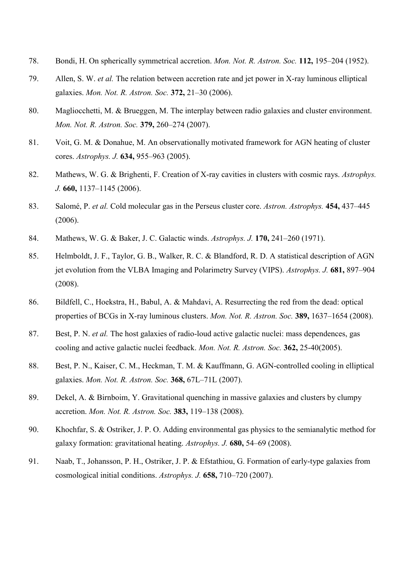- 78. Bondi, H. On spherically symmetrical accretion. *Mon. Not. R. Astron. Soc.* **112,** 195–204 (1952).
- 79. Allen, S. W. *et al.* The relation between accretion rate and jet power in X-ray luminous elliptical galaxies. *Mon. Not. R. Astron. Soc.* **372,** 21–30 (2006).
- 80. Magliocchetti, M. & Brueggen, M. The interplay between radio galaxies and cluster environment. *Mon. Not. R. Astron. Soc.* **379,** 260–274 (2007).
- 81. Voit, G. M. & Donahue, M. An observationally motivated framework for AGN heating of cluster cores. *Astrophys. J.* **634,** 955–963 (2005).
- 82. Mathews, W. G. & Brighenti, F. Creation of X-ray cavities in clusters with cosmic rays. *Astrophys. J.* **660,** 1137–1145 (2006).
- 83. Salomé, P. *et al.* Cold molecular gas in the Perseus cluster core. *Astron. Astrophys.* **454,** 437–445 (2006).
- 84. Mathews, W. G. & Baker, J. C. Galactic winds. *Astrophys. J.* **170,** 241–260 (1971).
- 85. Helmboldt, J. F., Taylor, G. B., Walker, R. C. & Blandford, R. D. A statistical description of AGN jet evolution from the VLBA Imaging and Polarimetry Survey (VIPS). *Astrophys. J.* **681,** 897–904 (2008).
- 86. Bildfell, C., Hoekstra, H., Babul, A. & Mahdavi, A. Resurrecting the red from the dead: optical properties of BCGs in X-ray luminous clusters. *Mon. Not. R. Astron. Soc.* **389,** 1637–1654 (2008).
- 87. Best, P. N. *et al.* The host galaxies of radio-loud active galactic nuclei: mass dependences, gas cooling and active galactic nuclei feedback. *Mon. Not. R. Astron. Soc.* **362,** 25-40(2005).
- 88. Best, P. N., Kaiser, C. M., Heckman, T. M. & Kauffmann, G. AGN-controlled cooling in elliptical galaxies. *Mon. Not. R. Astron. Soc.* **368,** 67L–71L (2007).
- 89. Dekel, A. & Birnboim, Y. Gravitational quenching in massive galaxies and clusters by clumpy accretion. *Mon. Not. R. Astron. Soc.* **383,** 119–138 (2008).
- 90. Khochfar, S. & Ostriker, J. P. O. Adding environmental gas physics to the semianalytic method for galaxy formation: gravitational heating. *Astrophys. J.* **680,** 54–69 (2008).
- 91. Naab, T., Johansson, P. H., Ostriker, J. P. & Efstathiou, G. Formation of early-type galaxies from cosmological initial conditions. *Astrophys. J.* **658,** 710–720 (2007).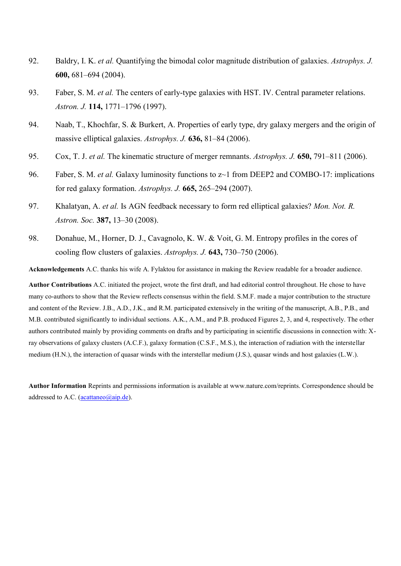- 92. Baldry, I. K. *et al.* Quantifying the bimodal color magnitude distribution of galaxies. *Astrophys. J.* **600,** 681–694 (2004).
- 93. Faber, S. M. *et al.* The centers of early-type galaxies with HST. IV. Central parameter relations. *Astron. J.* **114,** 1771–1796 (1997).
- 94. Naab, T., Khochfar, S. & Burkert, A. Properties of early type, dry galaxy mergers and the origin of massive elliptical galaxies. *Astrophys. J.* **636,** 81–84 (2006).
- 95. Cox, T. J. *et al.* The kinematic structure of merger remnants. *Astrophys. J.* **650,** 791–811 (2006).
- 96. Faber, S. M. *et al.* Galaxy luminosity functions to z~1 from DEEP2 and COMBO-17: implications for red galaxy formation. *Astrophys. J.* **665,** 265–294 (2007).
- 97. Khalatyan, A. *et al.* Is AGN feedback necessary to form red elliptical galaxies? *Mon. Not. R. Astron. Soc.* **387,** 13–30 (2008).
- 98. Donahue, M., Horner, D. J., Cavagnolo, K. W. & Voit, G. M. Entropy profiles in the cores of cooling flow clusters of galaxies. *Astrophys. J.* **643,** 730–750 (2006).

**Acknowledgements** A.C. thanks his wife A. Fylaktou for assistance in making the Review readable for a broader audience.

**Author Contributions** A.C. initiated the project, wrote the first draft, and had editorial control throughout. He chose to have many co-authors to show that the Review reflects consensus within the field. S.M.F. made a major contribution to the structure and content of the Review. J.B., A.D., J.K., and R.M. participated extensively in the writing of the manuscript, A.B., P.B., and M.B. contributed significantly to individual sections. A.K., A.M., and P.B. produced Figures 2, 3, and 4, respectively. The other authors contributed mainly by providing comments on drafts and by participating in scientific discussions in connection with: Xray observations of galaxy clusters (A.C.F.), galaxy formation (C.S.F., M.S.), the interaction of radiation with the interstellar medium (H.N.), the interaction of quasar winds with the interstellar medium (J.S.), quasar winds and host galaxies (L.W.).

**Author Information** Reprints and permissions information is available at www.nature.com/reprints. Correspondence should be addressed to A.C.  $(\text{acattaneo}(\text{a} \text{a} \text{i} \text{p} \cdot \text{d} \text{e}).$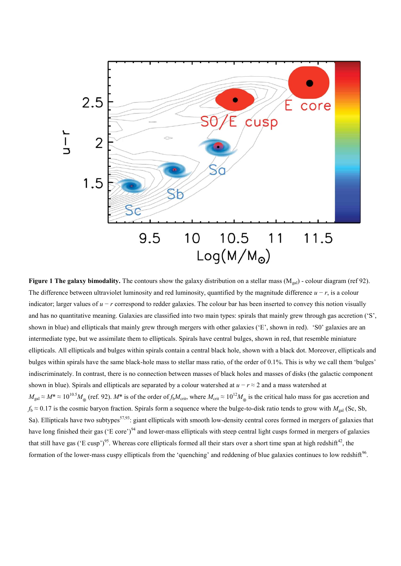

**Figure 1 The galaxy bimodality.** The contours show the galaxy distribution on a stellar mass (M<sub>gal</sub>) - colour diagram (ref 92). The difference between ultraviolet luminosity and red luminosity, quantified by the magnitude difference *u* − *r*, is a colour indicator; larger values of  $u - r$  correspond to redder galaxies. The colour bar has been inserted to convey this notion visually and has no quantitative meaning. Galaxies are classified into two main types: spirals that mainly grew through gas accretion ( $\degree$ S', shown in blue) and ellipticals that mainly grew through mergers with other galaxies ('E', shown in red). 'S0' galaxies are an intermediate type, but we assimilate them to ellipticals. Spirals have central bulges, shown in red, that resemble miniature ellipticals. All ellipticals and bulges within spirals contain a central black hole, shown with a black dot. Moreover, ellipticals and bulges within spirals have the same black-hole mass to stellar mass ratio, of the order of 0.1%. This is why we call them 'bulges' indiscriminately. In contrast, there is no connection between masses of black holes and masses of disks (the galactic component shown in blue). Spirals and ellipticals are separated by a colour watershed at *u* − *r* ≈ 2 and a mass watershed at  $M_{\text{gal}} \approx M^* \approx 10^{10.5} M_{\odot}$  (ref. 92).  $M^*$  is of the order of *f*<sub>b</sub> $M_{\text{crit}}$ , where  $M_{\text{crit}} \approx 10^{12} M_{\odot}$  is the critical halo mass for gas accretion and  $f_b \approx 0.17$  is the cosmic baryon fraction. Spirals form a sequence where the bulge-to-disk ratio tends to grow with  $M_{gal}$  (Sc, Sb, Sa). Ellipticals have two subtypes<sup>57,93</sup>: giant ellipticals with smooth low-density central cores formed in mergers of galaxies that have long finished their gas (°E core')<sup>94</sup> and lower-mass ellipticals with steep central light cusps formed in mergers of galaxies that still have gas ('E cusp')<sup>95</sup>. Whereas core ellipticals formed all their stars over a short time span at high redshift<sup>42</sup>, the formation of the lower-mass cuspy ellipticals from the 'quenching' and reddening of blue galaxies continues to low redshift $96$ .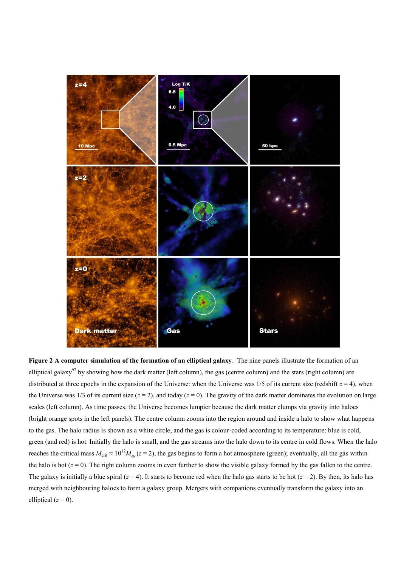

**Figure 2 A computer simulation of the formation of an elliptical galaxy**. The nine panels illustrate the formation of an elliptical galaxy<sup>97</sup> by showing how the dark matter (left column), the gas (centre column) and the stars (right column) are distributed at three epochs in the expansion of the Universe: when the Universe was  $1/5$  of its current size (redshift  $z = 4$ ), when the Universe was 1/3 of its current size  $(z = 2)$ , and today  $(z = 0)$ . The gravity of the dark matter dominates the evolution on large scales (left column). As time passes, the Universe becomes lumpier because the dark matter clumps via gravity into haloes (bright orange spots in the left panels). The centre column zooms into the region around and inside a halo to show what happens to the gas. The halo radius is shown as a white circle, and the gas is colour-coded according to its temperature: blue is cold, green (and red) is hot. Initially the halo is small, and the gas streams into the halo down to its centre in cold flows. When the halo reaches the critical mass  $M_{\text{crit}} \approx 10^{12} M_{\odot}$  ( $z = 2$ ), the gas begins to form a hot atmosphere (green); eventually, all the gas within the halo is hot  $(z = 0)$ . The right column zooms in even further to show the visible galaxy formed by the gas fallen to the centre. The galaxy is initially a blue spiral  $(z = 4)$ . It starts to become red when the halo gas starts to be hot  $(z = 2)$ . By then, its halo has merged with neighbouring haloes to form a galaxy group. Mergers with companions eventually transform the galaxy into an elliptical  $(z = 0)$ .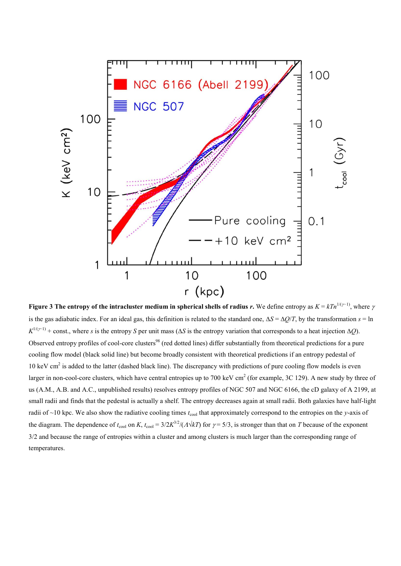

**Figure 3** The entropy of the intracluster medium in spherical shells of radius *r*. We define entropy as  $K = kTn^{1/(r-1)}$ , where  $\gamma$ is the gas adiabatic index. For an ideal gas, this definition is related to the standard one,  $\Delta S = \Delta Q/T$ , by the transformation  $s = \ln \frac{Q}{T}$  $K^{1/(\gamma-1)}$  + const., where *s* is the entropy *S* per unit mass ( $\Delta S$  is the entropy variation that corresponds to a heat injection  $\Delta Q$ ). Observed entropy profiles of cool-core clusters<sup>98</sup> (red dotted lines) differ substantially from theoretical predictions for a pure cooling flow model (black solid line) but become broadly consistent with theoretical predictions if an entropy pedestal of 10 keV cm<sup>2</sup> is added to the latter (dashed black line). The discrepancy with predictions of pure cooling flow models is even larger in non-cool-core clusters, which have central entropies up to 700 keV cm<sup>2</sup> (for example, 3C 129). A new study by three of us (A.M., A.B. and A.C., unpublished results) resolves entropy profiles of NGC 507 and NGC 6166, the cD galaxy of A 2199, at small radii and finds that the pedestal is actually a shelf. The entropy decreases again at small radii. Both galaxies have half-light radii of ~10 kpc. We also show the radiative cooling times  $t_{\text{cool}}$  that approximately correspond to the entropies on the *y*-axis of the diagram. The dependence of  $t_{\text{cool}}$  on *K*,  $t_{\text{cool}} = 3/2K^{3/2}/(\Lambda\sqrt{kT})$  for  $\gamma = 5/3$ , is stronger than that on *T* because of the exponent 3/2 and because the range of entropies within a cluster and among clusters is much larger than the corresponding range of temperatures.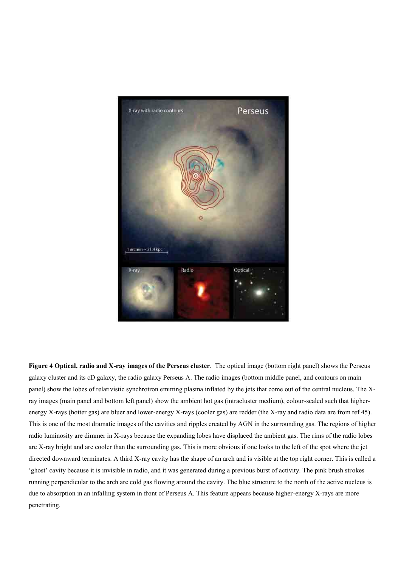

**Figure 4 Optical, radio and X-ray images of the Perseus cluster**. The optical image (bottom right panel) shows the Perseus galaxy cluster and its cD galaxy, the radio galaxy Perseus A. The radio images (bottom middle panel, and contours on main panel) show the lobes of relativistic synchrotron emitting plasma inflated by the jets that come out of the central nucleus. The Xray images (main panel and bottom left panel) show the ambient hot gas (intracluster medium), colour-scaled such that higherenergy X-rays (hotter gas) are bluer and lower-energy X-rays (cooler gas) are redder (the X-ray and radio data are from ref 45). This is one of the most dramatic images of the cavities and ripples created by AGN in the surrounding gas. The regions of higher radio luminosity are dimmer in X-rays because the expanding lobes have displaced the ambient gas. The rims of the radio lobes are X-ray bright and are cooler than the surrounding gas. This is more obvious if one looks to the left of the spot where the jet directed downward terminates. A third X-ray cavity has the shape of an arch and is visible at the top right corner. This is called a ‗ghost' cavity because it is invisible in radio, and it was generated during a previous burst of activity. The pink brush strokes running perpendicular to the arch are cold gas flowing around the cavity. The blue structure to the north of the active nucleus is due to absorption in an infalling system in front of Perseus A. This feature appears because higher-energy X-rays are more penetrating.